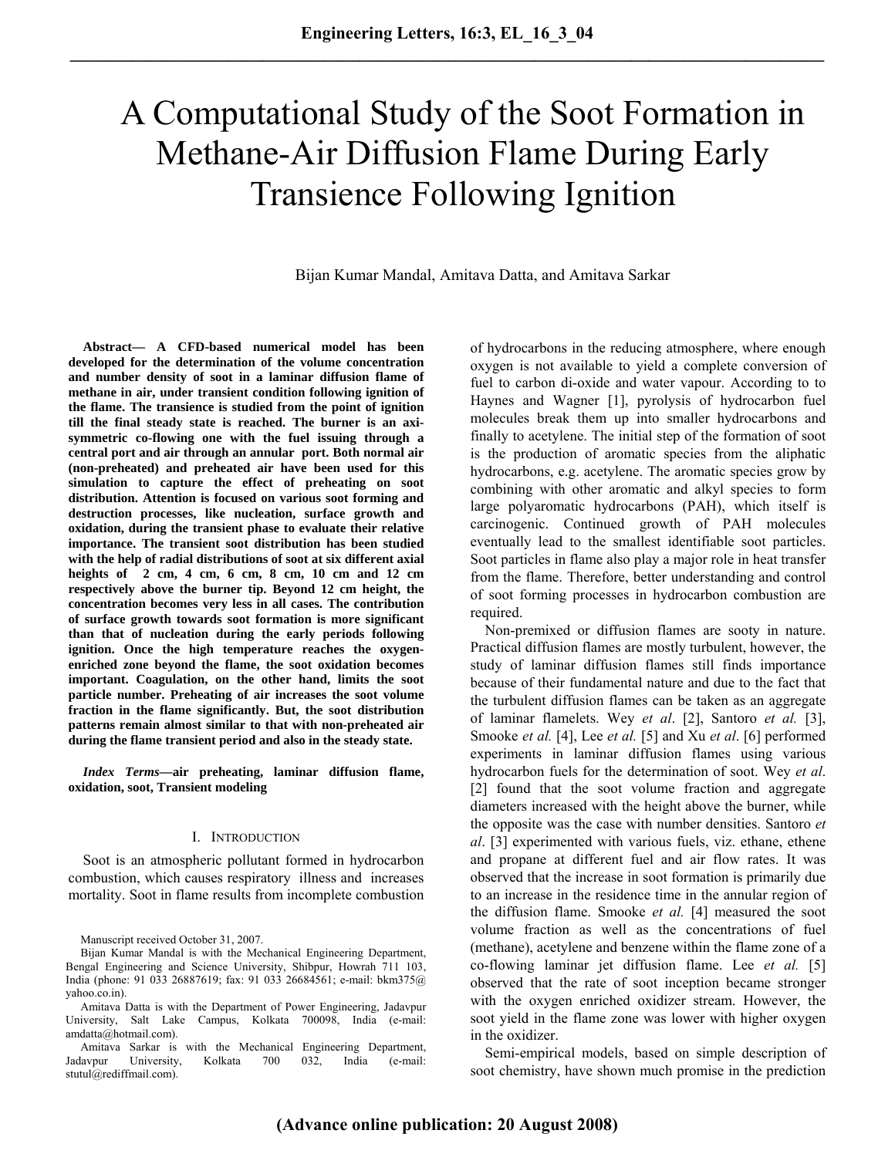# A Computational Study of the Soot Formation in Methane-Air Diffusion Flame During Early Transience Following Ignition

Bijan Kumar Mandal, Amitava Datta, and Amitava Sarkar

**Abstract— A CFD-based numerical model has been developed for the determination of the volume concentration and number density of soot in a laminar diffusion flame of methane in air, under transient condition following ignition of the flame. The transience is studied from the point of ignition till the final steady state is reached. The burner is an axisymmetric co-flowing one with the fuel issuing through a central port and air through an annular port. Both normal air (non-preheated) and preheated air have been used for this simulation to capture the effect of preheating on soot distribution. Attention is focused on various soot forming and destruction processes, like nucleation, surface growth and oxidation, during the transient phase to evaluate their relative importance. The transient soot distribution has been studied with the help of radial distributions of soot at six different axial heights of 2 cm, 4 cm, 6 cm, 8 cm, 10 cm and 12 cm respectively above the burner tip. Beyond 12 cm height, the concentration becomes very less in all cases. The contribution of surface growth towards soot formation is more significant than that of nucleation during the early periods following ignition. Once the high temperature reaches the oxygenenriched zone beyond the flame, the soot oxidation becomes important. Coagulation, on the other hand, limits the soot particle number. Preheating of air increases the soot volume fraction in the flame significantly. But, the soot distribution patterns remain almost similar to that with non-preheated air during the flame transient period and also in the steady state.** 

*Index Terms***—air preheating, laminar diffusion flame, oxidation, soot, Transient modeling** 

#### I. INTRODUCTION

Soot is an atmospheric pollutant formed in hydrocarbon combustion, which causes respiratory illness and increases mortality. Soot in flame results from incomplete combustion

Amitava Datta is with the Department of Power Engineering, Jadavpur University, Salt Lake Campus, Kolkata 700098, India (e-mail: amdatta@hotmail.com).

Amitava Sarkar is with the Mechanical Engineering Department, Jadavpur University, Kolkata 700 032, India (e-mail: stutul@rediffmail.com).

of hydrocarbons in the reducing atmosphere, where enough oxygen is not available to yield a complete conversion of fuel to carbon di-oxide and water vapour. According to to Haynes and Wagner [1], pyrolysis of hydrocarbon fuel molecules break them up into smaller hydrocarbons and finally to acetylene. The initial step of the formation of soot is the production of aromatic species from the aliphatic hydrocarbons, e.g. acetylene. The aromatic species grow by combining with other aromatic and alkyl species to form large polyaromatic hydrocarbons (PAH), which itself is carcinogenic. Continued growth of PAH molecules eventually lead to the smallest identifiable soot particles. Soot particles in flame also play a major role in heat transfer from the flame. Therefore, better understanding and control of soot forming processes in hydrocarbon combustion are required.

Non-premixed or diffusion flames are sooty in nature. Practical diffusion flames are mostly turbulent, however, the study of laminar diffusion flames still finds importance because of their fundamental nature and due to the fact that the turbulent diffusion flames can be taken as an aggregate of laminar flamelets. Wey *et al*. [2], Santoro *et al.* [3], Smooke *et al.* [4], Lee *et al.* [5] and Xu *et al*. [6] performed experiments in laminar diffusion flames using various hydrocarbon fuels for the determination of soot. Wey *et al*. [2] found that the soot volume fraction and aggregate diameters increased with the height above the burner, while the opposite was the case with number densities. Santoro *et al*. [3] experimented with various fuels, viz. ethane, ethene and propane at different fuel and air flow rates. It was observed that the increase in soot formation is primarily due to an increase in the residence time in the annular region of the diffusion flame. Smooke *et al.* [4] measured the soot volume fraction as well as the concentrations of fuel (methane), acetylene and benzene within the flame zone of a co-flowing laminar jet diffusion flame. Lee *et al.* [5] observed that the rate of soot inception became stronger with the oxygen enriched oxidizer stream. However, the soot yield in the flame zone was lower with higher oxygen in the oxidizer.

Semi-empirical models, based on simple description of soot chemistry, have shown much promise in the prediction

Manuscript received October 31, 2007.

Bijan Kumar Mandal is with the Mechanical Engineering Department, Bengal Engineering and Science University, Shibpur, Howrah 711 103, India (phone: 91 033 26887619; fax: 91 033 26684561; e-mail: bkm375@ yahoo.co.in).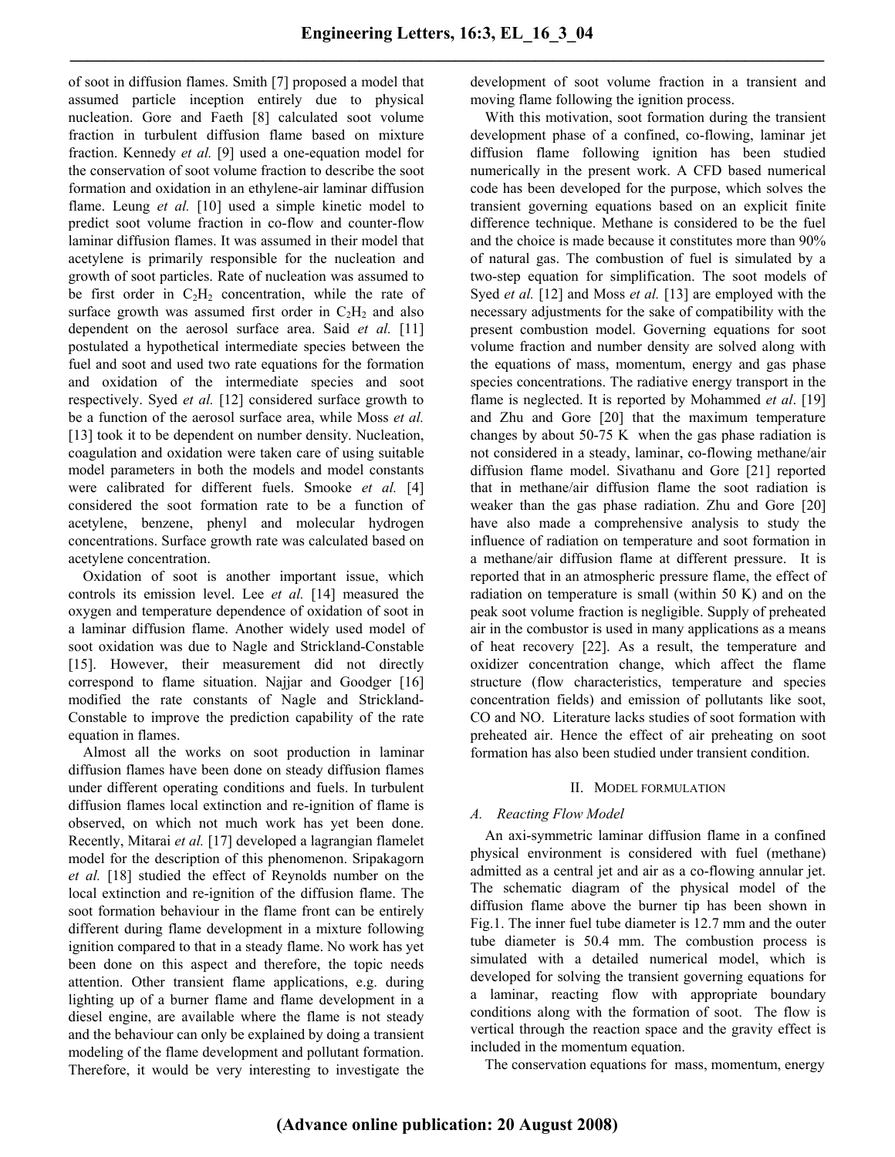of soot in diffusion flames. Smith [7] proposed a model that assumed particle inception entirely due to physical nucleation. Gore and Faeth [8] calculated soot volume fraction in turbulent diffusion flame based on mixture fraction. Kennedy *et al.* [9] used a one-equation model for the conservation of soot volume fraction to describe the soot formation and oxidation in an ethylene-air laminar diffusion flame. Leung *et al.* [10] used a simple kinetic model to predict soot volume fraction in co-flow and counter-flow laminar diffusion flames. It was assumed in their model that acetylene is primarily responsible for the nucleation and growth of soot particles. Rate of nucleation was assumed to be first order in  $C_2H_2$  concentration, while the rate of surface growth was assumed first order in  $C_2H_2$  and also dependent on the aerosol surface area. Said *et al.* [11] postulated a hypothetical intermediate species between the fuel and soot and used two rate equations for the formation and oxidation of the intermediate species and soot respectively. Syed *et al.* [12] considered surface growth to be a function of the aerosol surface area, while Moss *et al.* [13] took it to be dependent on number density. Nucleation, coagulation and oxidation were taken care of using suitable model parameters in both the models and model constants were calibrated for different fuels. Smooke *et al.* [4] considered the soot formation rate to be a function of acetylene, benzene, phenyl and molecular hydrogen concentrations. Surface growth rate was calculated based on acetylene concentration.

Oxidation of soot is another important issue, which controls its emission level. Lee *et al.* [14] measured the oxygen and temperature dependence of oxidation of soot in a laminar diffusion flame. Another widely used model of soot oxidation was due to Nagle and Strickland-Constable [15]. However, their measurement did not directly correspond to flame situation. Najjar and Goodger [16] modified the rate constants of Nagle and Strickland-Constable to improve the prediction capability of the rate equation in flames.

Almost all the works on soot production in laminar diffusion flames have been done on steady diffusion flames under different operating conditions and fuels. In turbulent diffusion flames local extinction and re-ignition of flame is observed, on which not much work has yet been done. Recently, Mitarai *et al.* [17] developed a lagrangian flamelet model for the description of this phenomenon. Sripakagorn *et al.* [18] studied the effect of Reynolds number on the local extinction and re-ignition of the diffusion flame. The soot formation behaviour in the flame front can be entirely different during flame development in a mixture following ignition compared to that in a steady flame. No work has yet been done on this aspect and therefore, the topic needs attention. Other transient flame applications, e.g. during lighting up of a burner flame and flame development in a diesel engine, are available where the flame is not steady and the behaviour can only be explained by doing a transient modeling of the flame development and pollutant formation. Therefore, it would be very interesting to investigate the development of soot volume fraction in a transient and moving flame following the ignition process.

With this motivation, soot formation during the transient development phase of a confined, co-flowing, laminar jet diffusion flame following ignition has been studied numerically in the present work. A CFD based numerical code has been developed for the purpose, which solves the transient governing equations based on an explicit finite difference technique. Methane is considered to be the fuel and the choice is made because it constitutes more than 90% of natural gas. The combustion of fuel is simulated by a two-step equation for simplification. The soot models of Syed *et al.* [12] and Moss *et al.* [13] are employed with the necessary adjustments for the sake of compatibility with the present combustion model. Governing equations for soot volume fraction and number density are solved along with the equations of mass, momentum, energy and gas phase species concentrations. The radiative energy transport in the flame is neglected. It is reported by Mohammed *et al*. [19] and Zhu and Gore [20] that the maximum temperature changes by about 50-75 K when the gas phase radiation is not considered in a steady, laminar, co-flowing methane/air diffusion flame model. Sivathanu and Gore [21] reported that in methane/air diffusion flame the soot radiation is weaker than the gas phase radiation. Zhu and Gore [20] have also made a comprehensive analysis to study the influence of radiation on temperature and soot formation in a methane/air diffusion flame at different pressure. It is reported that in an atmospheric pressure flame, the effect of radiation on temperature is small (within 50 K) and on the peak soot volume fraction is negligible. Supply of preheated air in the combustor is used in many applications as a means of heat recovery [22]. As a result, the temperature and oxidizer concentration change, which affect the flame structure (flow characteristics, temperature and species concentration fields) and emission of pollutants like soot, CO and NO. Literature lacks studies of soot formation with preheated air. Hence the effect of air preheating on soot formation has also been studied under transient condition.

## II. MODEL FORMULATION

## *A. Reacting Flow Model*

An axi-symmetric laminar diffusion flame in a confined physical environment is considered with fuel (methane) admitted as a central jet and air as a co-flowing annular jet. The schematic diagram of the physical model of the diffusion flame above the burner tip has been shown in Fig.1. The inner fuel tube diameter is 12.7 mm and the outer tube diameter is 50.4 mm. The combustion process is simulated with a detailed numerical model, which is developed for solving the transient governing equations for a laminar, reacting flow with appropriate boundary conditions along with the formation of soot. The flow is vertical through the reaction space and the gravity effect is included in the momentum equation.

The conservation equations for mass, momentum, energy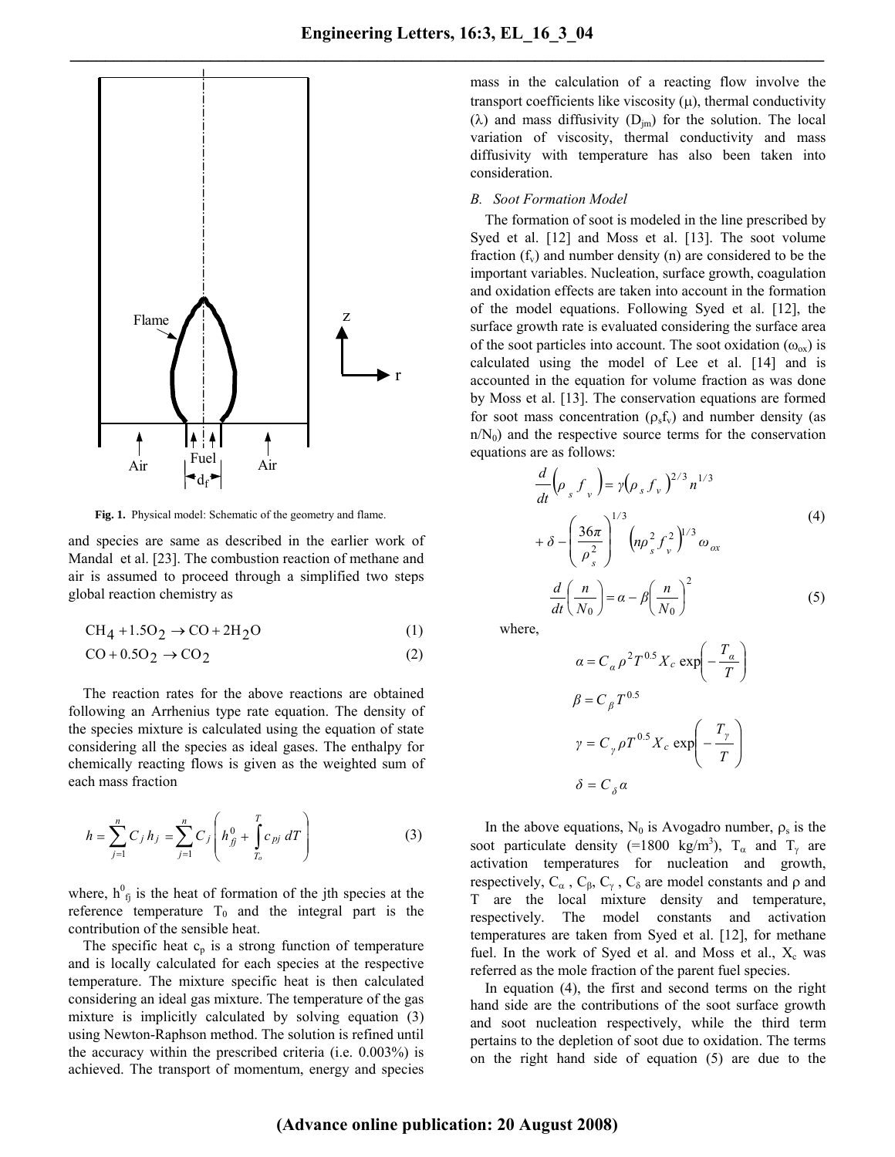

**Fig. 1.** Physical model: Schematic of the geometry and flame.

and species are same as described in the earlier work of Mandal et al. [23]. The combustion reaction of methane and air is assumed to proceed through a simplified two steps global reaction chemistry as

$$
CH_4 + 1.5O_2 \rightarrow CO + 2H_2O \tag{1}
$$

$$
CO + 0.5O2 \rightarrow CO2
$$
 (2)

The reaction rates for the above reactions are obtained following an Arrhenius type rate equation. The density of the species mixture is calculated using the equation of state considering all the species as ideal gases. The enthalpy for chemically reacting flows is given as the weighted sum of each mass fraction

$$
h = \sum_{j=1}^{n} C_j h_j = \sum_{j=1}^{n} C_j \left( h_{\hat{B}}^0 + \int_{T_o}^{T} c_{pj} dT \right)
$$
 (3)

where,  $h_{fj}^{0}$  is the heat of formation of the jth species at the reference temperature  $T_0$  and the integral part is the contribution of the sensible heat.

The specific heat  $c_p$  is a strong function of temperature and is locally calculated for each species at the respective temperature. The mixture specific heat is then calculated considering an ideal gas mixture. The temperature of the gas mixture is implicitly calculated by solving equation (3) using Newton-Raphson method. The solution is refined until the accuracy within the prescribed criteria (i.e. 0.003%) is achieved. The transport of momentum, energy and species mass in the calculation of a reacting flow involve the transport coefficients like viscosity  $(\mu)$ , thermal conductivity ( $\lambda$ ) and mass diffusivity ( $D_{\text{im}}$ ) for the solution. The local variation of viscosity, thermal conductivity and mass diffusivity with temperature has also been taken into consideration.

## *B. Soot Formation Model*

The formation of soot is modeled in the line prescribed by Syed et al. [12] and Moss et al. [13]. The soot volume fraction  $(f_v)$  and number density (n) are considered to be the important variables. Nucleation, surface growth, coagulation and oxidation effects are taken into account in the formation of the model equations. Following Syed et al. [12], the surface growth rate is evaluated considering the surface area of the soot particles into account. The soot oxidation  $(\omega_{ox})$  is calculated using the model of Lee et al. [14] and is accounted in the equation for volume fraction as was done by Moss et al. [13]. The conservation equations are formed for soot mass concentration ( $\rho_s f_v$ ) and number density (as  $n/N_0$ ) and the respective source terms for the conservation equations are as follows:

$$
\frac{d}{dt} \left( \rho_s f_v \right) = \gamma (\rho_s f_v)^{2/3} n^{1/3}
$$
  
+  $\delta - \left( \frac{36\pi}{\rho_s^2} \right)^{1/3} \left( n \rho_s^2 f_v^2 \right)^{1/3} \omega_{ox}$   

$$
\frac{d}{dt} \left( \frac{n}{N_0} \right) = \alpha - \beta \left( \frac{n}{N_0} \right)^2 \tag{5}
$$

where,

$$
\alpha = C_{\alpha} \rho^2 T^{0.5} X_c \exp\left(-\frac{T_{\alpha}}{T}\right)
$$

$$
\beta = C_{\beta} T^{0.5}
$$

$$
\gamma = C_{\gamma} \rho T^{0.5} X_c \exp\left(-\frac{T_{\gamma}}{T}\right)
$$

$$
\delta = C_{\delta} \alpha
$$

In the above equations,  $N_0$  is Avogadro number,  $\rho_s$  is the soot particulate density (=1800 kg/m<sup>3</sup>),  $T_{\alpha}$  and  $T_{\gamma}$  are activation temperatures for nucleation and growth, respectively,  $C_{\alpha}$ ,  $C_{\beta}$ ,  $C_{\gamma}$ ,  $C_{\delta}$  are model constants and  $\rho$  and T are the local mixture density and temperature, respectively. The model constants and activation temperatures are taken from Syed et al. [12], for methane fuel. In the work of Syed et al. and Moss et al.,  $X_c$  was referred as the mole fraction of the parent fuel species.

In equation (4), the first and second terms on the right hand side are the contributions of the soot surface growth and soot nucleation respectively, while the third term pertains to the depletion of soot due to oxidation. The terms on the right hand side of equation (5) are due to the

**(Advance online publication: 20 August 2008)**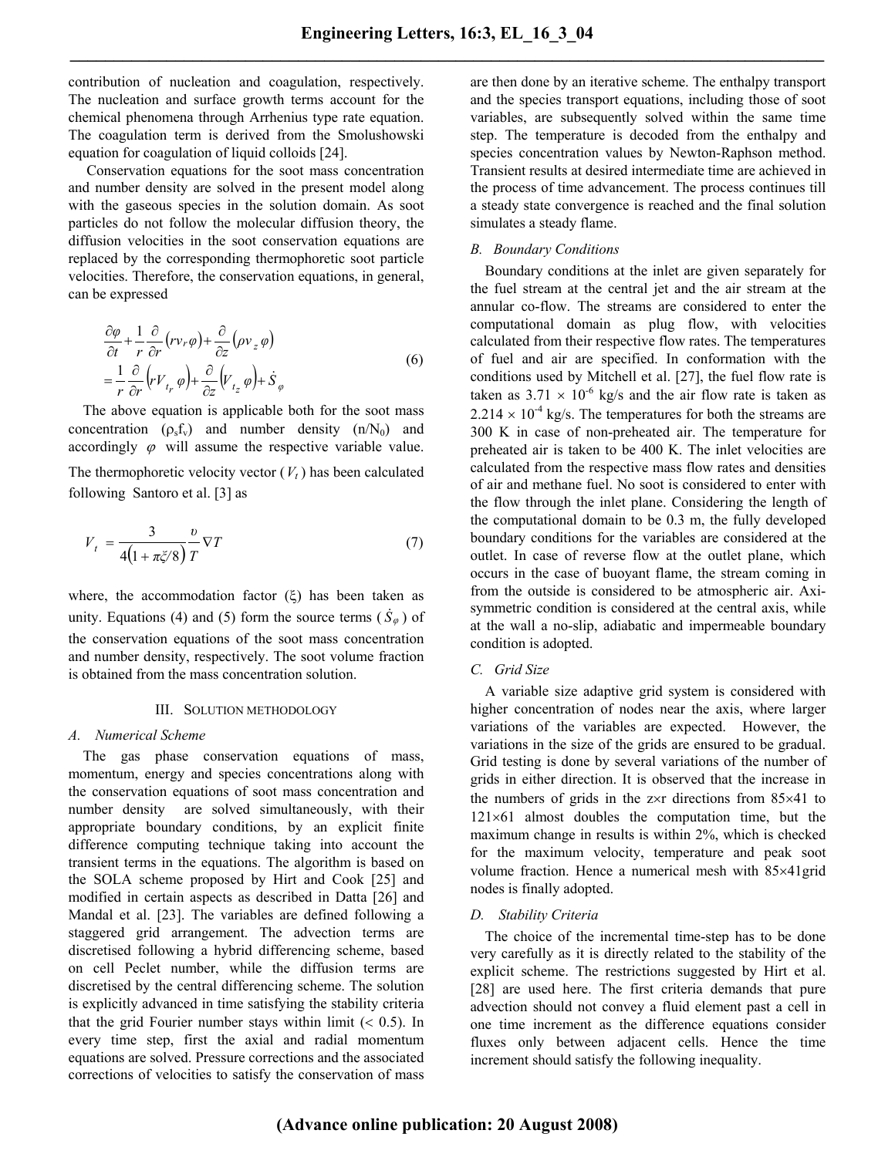contribution of nucleation and coagulation, respectively. The nucleation and surface growth terms account for the chemical phenomena through Arrhenius type rate equation. The coagulation term is derived from the Smolushowski equation for coagulation of liquid colloids [24].

Conservation equations for the soot mass concentration and number density are solved in the present model along with the gaseous species in the solution domain. As soot particles do not follow the molecular diffusion theory, the diffusion velocities in the soot conservation equations are replaced by the corresponding thermophoretic soot particle velocities. Therefore, the conservation equations, in general, can be expressed

$$
\frac{\partial \varphi}{\partial t} + \frac{1}{r} \frac{\partial}{\partial r} (r v_r \varphi) + \frac{\partial}{\partial z} (\rho v_z \varphi)
$$
  
=  $\frac{1}{r} \frac{\partial}{\partial r} (r V_{t_r} \varphi) + \frac{\partial}{\partial z} (V_{t_z} \varphi) + \dot{S}_{\varphi}$  (6)

The above equation is applicable both for the soot mass concentration  $(\rho_s f_v)$  and number density  $(n/N_0)$  and accordingly  $\varphi$  will assume the respective variable value. The thermophoretic velocity vector  $(V_t)$  has been calculated

following Santoro et al. [3] as

$$
V_t = \frac{3}{4\left(1 + \pi \zeta/8\right)} \frac{v}{T} \nabla T \tag{7}
$$

where, the accommodation factor  $(\xi)$  has been taken as unity. Equations (4) and (5) form the source terms  $(\dot{S}_{\varphi})$  of the conservation equations of the soot mass concentration and number density, respectively. The soot volume fraction is obtained from the mass concentration solution.

## III. SOLUTION METHODOLOGY

#### *A. Numerical Scheme*

The gas phase conservation equations of mass, momentum, energy and species concentrations along with the conservation equations of soot mass concentration and number density are solved simultaneously, with their appropriate boundary conditions, by an explicit finite difference computing technique taking into account the transient terms in the equations. The algorithm is based on the SOLA scheme proposed by Hirt and Cook [25] and modified in certain aspects as described in Datta [26] and Mandal et al. [23]. The variables are defined following a staggered grid arrangement. The advection terms are discretised following a hybrid differencing scheme, based on cell Peclet number, while the diffusion terms are discretised by the central differencing scheme. The solution is explicitly advanced in time satisfying the stability criteria that the grid Fourier number stays within limit  $( $0.5$ ). In$ every time step, first the axial and radial momentum equations are solved. Pressure corrections and the associated corrections of velocities to satisfy the conservation of mass are then done by an iterative scheme. The enthalpy transport and the species transport equations, including those of soot variables, are subsequently solved within the same time step. The temperature is decoded from the enthalpy and species concentration values by Newton-Raphson method. Transient results at desired intermediate time are achieved in the process of time advancement. The process continues till a steady state convergence is reached and the final solution simulates a steady flame.

## *B. Boundary Conditions*

Boundary conditions at the inlet are given separately for the fuel stream at the central jet and the air stream at the annular co-flow. The streams are considered to enter the computational domain as plug flow, with velocities calculated from their respective flow rates. The temperatures of fuel and air are specified. In conformation with the conditions used by Mitchell et al. [27], the fuel flow rate is taken as  $3.71 \times 10^{-6}$  kg/s and the air flow rate is taken as  $2.214 \times 10^{-4}$  kg/s. The temperatures for both the streams are 300 K in case of non-preheated air. The temperature for preheated air is taken to be 400 K. The inlet velocities are calculated from the respective mass flow rates and densities of air and methane fuel. No soot is considered to enter with the flow through the inlet plane. Considering the length of the computational domain to be 0.3 m, the fully developed boundary conditions for the variables are considered at the outlet. In case of reverse flow at the outlet plane, which occurs in the case of buoyant flame, the stream coming in from the outside is considered to be atmospheric air. Axisymmetric condition is considered at the central axis, while at the wall a no-slip, adiabatic and impermeable boundary condition is adopted.

## *C. Grid Size*

A variable size adaptive grid system is considered with higher concentration of nodes near the axis, where larger variations of the variables are expected. However, the variations in the size of the grids are ensured to be gradual. Grid testing is done by several variations of the number of grids in either direction. It is observed that the increase in the numbers of grids in the z×r directions from 85×41 to 121×61 almost doubles the computation time, but the maximum change in results is within 2%, which is checked for the maximum velocity, temperature and peak soot volume fraction. Hence a numerical mesh with 85×41grid nodes is finally adopted.

## *D. Stability Criteria*

The choice of the incremental time-step has to be done very carefully as it is directly related to the stability of the explicit scheme. The restrictions suggested by Hirt et al. [28] are used here. The first criteria demands that pure advection should not convey a fluid element past a cell in one time increment as the difference equations consider fluxes only between adjacent cells. Hence the time increment should satisfy the following inequality.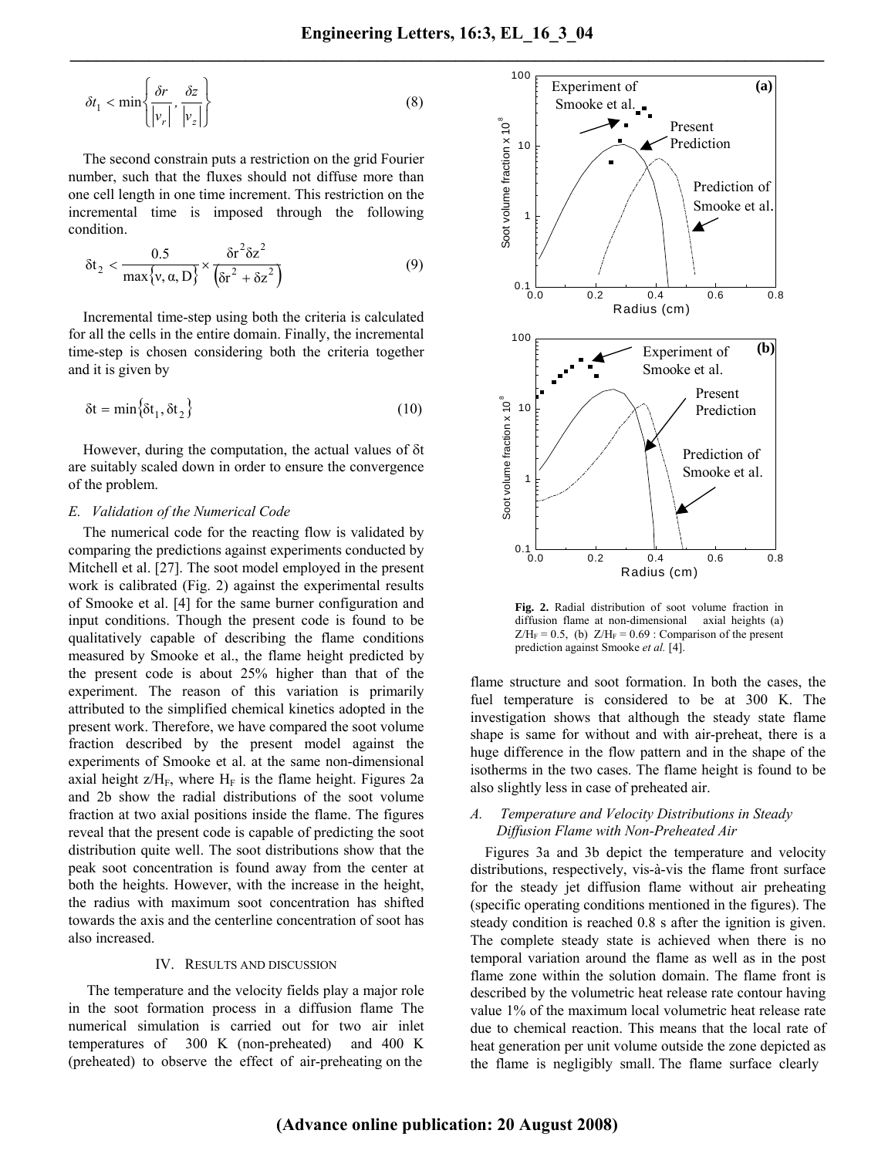$$
\delta t_1 < \min\left\{\frac{\delta r}{|v_r|}, \frac{\delta z}{|v_z|}\right\} \tag{8}
$$

The second constrain puts a restriction on the grid Fourier number, such that the fluxes should not diffuse more than one cell length in one time increment. This restriction on the incremental time is imposed through the following condition.

$$
\delta t_2 < \frac{0.5}{\max\{v, \alpha, D\}} \times \frac{\delta r^2 \delta z^2}{\left(\delta r^2 + \delta z^2\right)}\tag{9}
$$

Incremental time-step using both the criteria is calculated for all the cells in the entire domain. Finally, the incremental time-step is chosen considering both the criteria together and it is given by

$$
\delta t = \min \{ \delta t_1, \delta t_2 \}
$$
 (10)

However, during the computation, the actual values of δt are suitably scaled down in order to ensure the convergence of the problem.

## *E. Validation of the Numerical Code*

The numerical code for the reacting flow is validated by comparing the predictions against experiments conducted by Mitchell et al. [27]. The soot model employed in the present work is calibrated (Fig. 2) against the experimental results of Smooke et al. [4] for the same burner configuration and input conditions. Though the present code is found to be qualitatively capable of describing the flame conditions measured by Smooke et al., the flame height predicted by the present code is about 25% higher than that of the experiment. The reason of this variation is primarily attributed to the simplified chemical kinetics adopted in the present work. Therefore, we have compared the soot volume fraction described by the present model against the experiments of Smooke et al. at the same non-dimensional axial height  $z/H_F$ , where  $H_F$  is the flame height. Figures 2a and 2b show the radial distributions of the soot volume fraction at two axial positions inside the flame. The figures reveal that the present code is capable of predicting the soot distribution quite well. The soot distributions show that the peak soot concentration is found away from the center at both the heights. However, with the increase in the height, the radius with maximum soot concentration has shifted towards the axis and the centerline concentration of soot has also increased.

## IV. RESULTS AND DISCUSSION

The temperature and the velocity fields play a major role in the soot formation process in a diffusion flame The numerical simulation is carried out for two air inlet temperatures of 300 K (non-preheated) and 400 K (preheated) to observe the effect of air-preheating on the



**Fig. 2.** Radial distribution of soot volume fraction in diffusion flame at non-dimensional axial heights (a)  $Z/H_F = 0.5$ , (b)  $Z/H_F = 0.69$  : Comparison of the present prediction against Smooke *et al.* [4].

flame structure and soot formation. In both the cases, the fuel temperature is considered to be at 300 K. The investigation shows that although the steady state flame shape is same for without and with air-preheat, there is a huge difference in the flow pattern and in the shape of the isotherms in the two cases. The flame height is found to be also slightly less in case of preheated air.

## *A. Temperature and Velocity Distributions in Steady Diffusion Flame with Non-Preheated Air*

Figures 3a and 3b depict the temperature and velocity distributions, respectively, vis-à-vis the flame front surface for the steady jet diffusion flame without air preheating (specific operating conditions mentioned in the figures). The steady condition is reached 0.8 s after the ignition is given. The complete steady state is achieved when there is no temporal variation around the flame as well as in the post flame zone within the solution domain. The flame front is described by the volumetric heat release rate contour having value 1% of the maximum local volumetric heat release rate due to chemical reaction. This means that the local rate of heat generation per unit volume outside the zone depicted as the flame is negligibly small. The flame surface clearly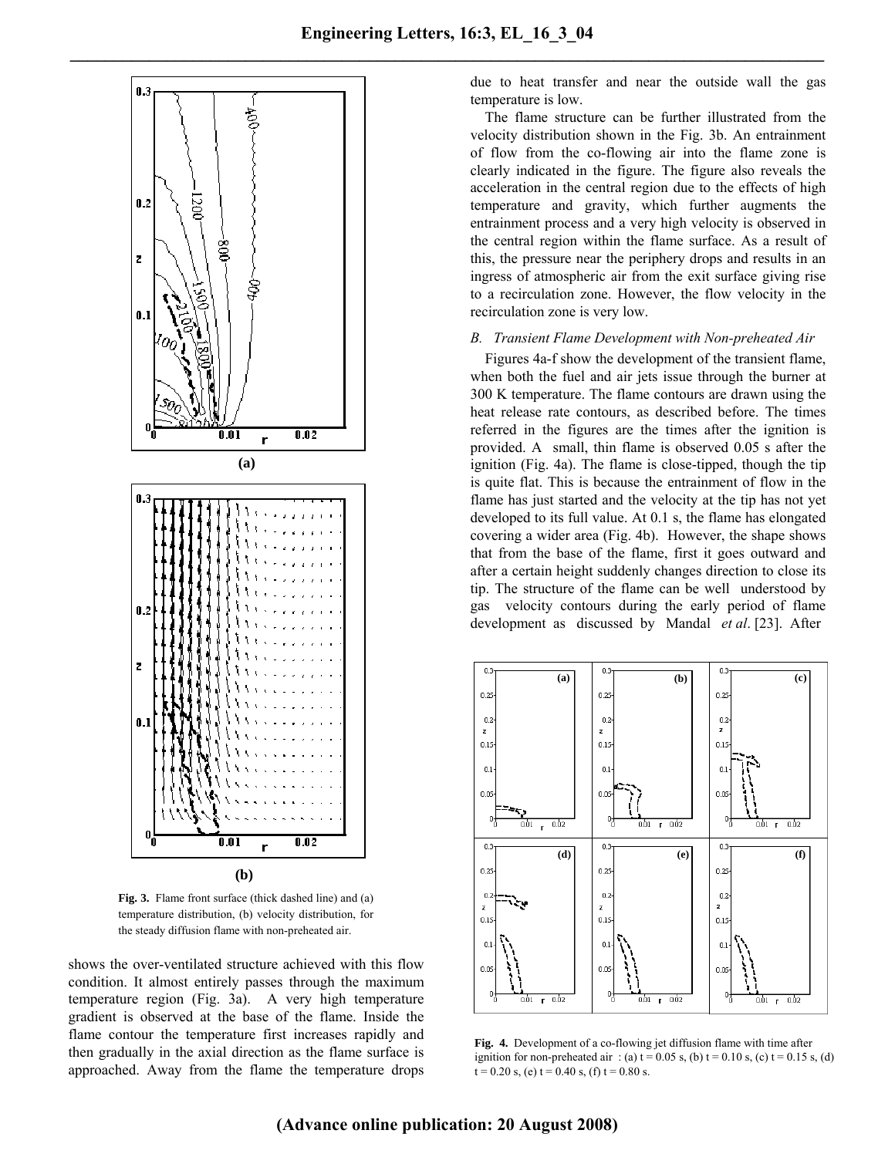

**Fig. 3.** Flame front surface (thick dashed line) and (a) temperature distribution, (b) velocity distribution, for the steady diffusion flame with non-preheated air.

shows the over-ventilated structure achieved with this flow condition. It almost entirely passes through the maximum temperature region (Fig. 3a). A very high temperature gradient is observed at the base of the flame. Inside the flame contour the temperature first increases rapidly and then gradually in the axial direction as the flame surface is approached. Away from the flame the temperature drops due to heat transfer and near the outside wall the gas temperature is low.

The flame structure can be further illustrated from the velocity distribution shown in the Fig. 3b. An entrainment of flow from the co-flowing air into the flame zone is clearly indicated in the figure. The figure also reveals the acceleration in the central region due to the effects of high temperature and gravity, which further augments the entrainment process and a very high velocity is observed in the central region within the flame surface. As a result of this, the pressure near the periphery drops and results in an ingress of atmospheric air from the exit surface giving rise to a recirculation zone. However, the flow velocity in the recirculation zone is very low.

## *B. Transient Flame Development with Non-preheated Air*

Figures 4a-f show the development of the transient flame, when both the fuel and air jets issue through the burner at 300 K temperature. The flame contours are drawn using the heat release rate contours, as described before. The times referred in the figures are the times after the ignition is provided. A small, thin flame is observed 0.05 s after the ignition (Fig. 4a). The flame is close-tipped, though the tip is quite flat. This is because the entrainment of flow in the flame has just started and the velocity at the tip has not yet developed to its full value. At 0.1 s, the flame has elongated covering a wider area (Fig. 4b). However, the shape shows that from the base of the flame, first it goes outward and after a certain height suddenly changes direction to close its tip. The structure of the flame can be well understood by gas velocity contours during the early period of flame development as discussed by Mandal *et al*. [23]. After



ignition for non-preheated air: (a)  $t = 0.05$  s, (b)  $t = 0.10$  s, (c)  $t = 0.15$  s, (d) **Fig. 4.** Development of a co-flowing jet diffusion flame with time after  $t = 0.20$  s, (e)  $t = 0.40$  s, (f)  $t = 0.80$  s.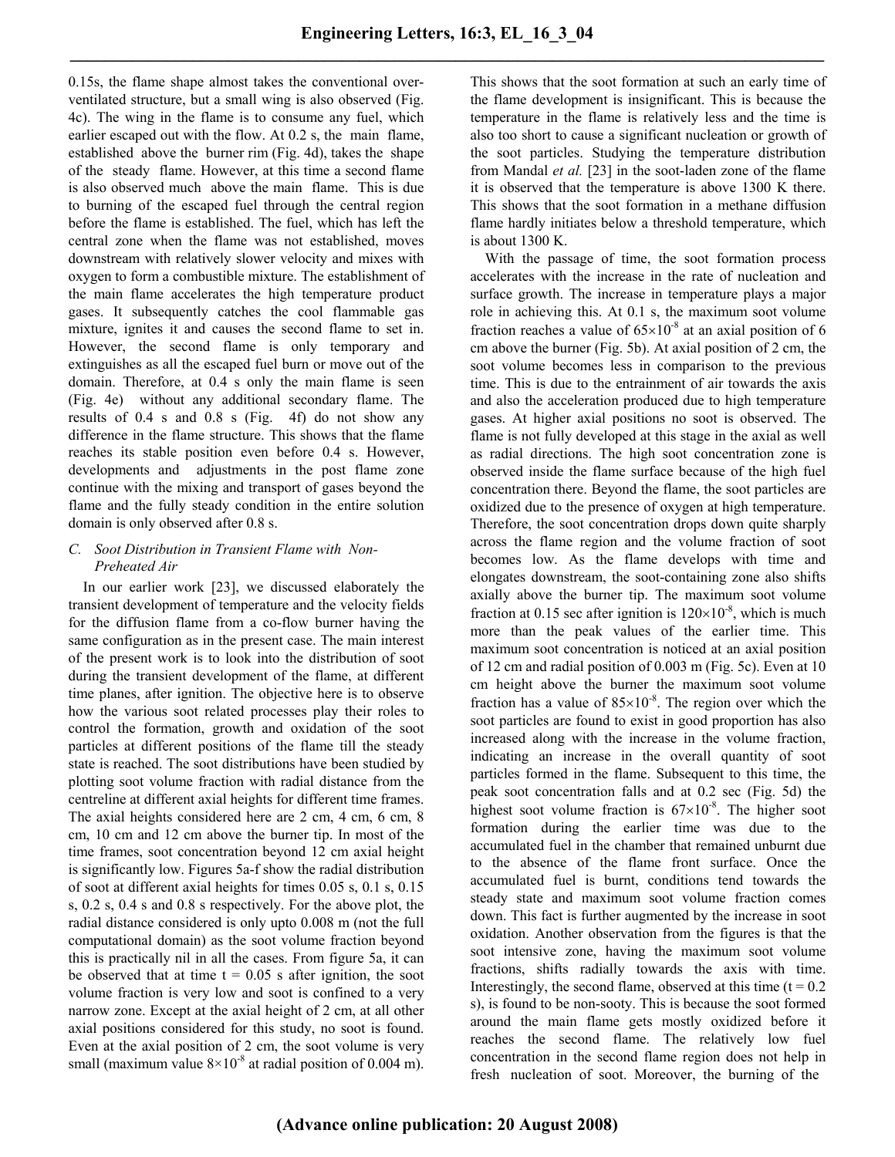0.15s, the flame shape almost takes the conventional overventilated structure, but a small wing is also observed (Fig. 4c). The wing in the flame is to consume any fuel, which earlier escaped out with the flow. At 0.2 s, the main flame, established above the burner rim (Fig. 4d), takes the shape of the steady flame. However, at this time a second flame is also observed much above the main flame. This is due to burning of the escaped fuel through the central region before the flame is established. The fuel, which has left the central zone when the flame was not established, moves downstream with relatively slower velocity and mixes with oxygen to form a combustible mixture. The establishment of the main flame accelerates the high temperature product gases. It subsequently catches the cool flammable gas mixture, ignites it and causes the second flame to set in. However, the second flame is only temporary and extinguishes as all the escaped fuel burn or move out of the domain. Therefore, at 0.4 s only the main flame is seen (Fig. 4e) without any additional secondary flame. The results of 0.4 s and 0.8 s (Fig. 4f) do not show any difference in the flame structure. This shows that the flame reaches its stable position even before 0.4 s. However, developments and adjustments in the post flame zone continue with the mixing and transport of gases beyond the flame and the fully steady condition in the entire solution domain is only observed after 0.8 s.

## *C. Soot Distribution in Transient Flame with Non-Preheated Air*

In our earlier work [23], we discussed elaborately the transient development of temperature and the velocity fields for the diffusion flame from a co-flow burner having the same configuration as in the present case. The main interest of the present work is to look into the distribution of soot during the transient development of the flame, at different time planes, after ignition. The objective here is to observe how the various soot related processes play their roles to control the formation, growth and oxidation of the soot particles at different positions of the flame till the steady state is reached. The soot distributions have been studied by plotting soot volume fraction with radial distance from the centreline at different axial heights for different time frames. The axial heights considered here are 2 cm, 4 cm, 6 cm, 8 cm, 10 cm and 12 cm above the burner tip. In most of the time frames, soot concentration beyond 12 cm axial height is significantly low. Figures 5a-f show the radial distribution of soot at different axial heights for times 0.05 s, 0.1 s, 0.15 s, 0.2 s, 0.4 s and 0.8 s respectively. For the above plot, the radial distance considered is only upto 0.008 m (not the full computational domain) as the soot volume fraction beyond this is practically nil in all the cases. From figure 5a, it can be observed that at time  $t = 0.05$  s after ignition, the soot volume fraction is very low and soot is confined to a very narrow zone. Except at the axial height of 2 cm, at all other axial positions considered for this study, no soot is found. Even at the axial position of 2 cm, the soot volume is very small (maximum value  $8\times10^{-8}$  at radial position of 0.004 m). This shows that the soot formation at such an early time of the flame development is insignificant. This is because the temperature in the flame is relatively less and the time is also too short to cause a significant nucleation or growth of the soot particles. Studying the temperature distribution from Mandal *et al.* [23] in the soot-laden zone of the flame it is observed that the temperature is above 1300 K there. This shows that the soot formation in a methane diffusion flame hardly initiates below a threshold temperature, which is about 1300 K.

With the passage of time, the soot formation process accelerates with the increase in the rate of nucleation and surface growth. The increase in temperature plays a major role in achieving this. At 0.1 s, the maximum soot volume fraction reaches a value of  $65\times10^{-8}$  at an axial position of 6 cm above the burner (Fig. 5b). At axial position of 2 cm, the soot volume becomes less in comparison to the previous time. This is due to the entrainment of air towards the axis and also the acceleration produced due to high temperature gases. At higher axial positions no soot is observed. The flame is not fully developed at this stage in the axial as well as radial directions. The high soot concentration zone is observed inside the flame surface because of the high fuel concentration there. Beyond the flame, the soot particles are oxidized due to the presence of oxygen at high temperature. Therefore, the soot concentration drops down quite sharply across the flame region and the volume fraction of soot becomes low. As the flame develops with time and elongates downstream, the soot-containing zone also shifts axially above the burner tip. The maximum soot volume fraction at 0.15 sec after ignition is  $120\times10^{-8}$ , which is much more than the peak values of the earlier time. This maximum soot concentration is noticed at an axial position of 12 cm and radial position of 0.003 m (Fig. 5c). Even at 10 cm height above the burner the maximum soot volume fraction has a value of  $85 \times 10^{-8}$ . The region over which the soot particles are found to exist in good proportion has also increased along with the increase in the volume fraction, indicating an increase in the overall quantity of soot particles formed in the flame. Subsequent to this time, the peak soot concentration falls and at 0.2 sec (Fig. 5d) the highest soot volume fraction is  $67\times10^{-8}$ . The higher soot formation during the earlier time was due to the accumulated fuel in the chamber that remained unburnt due to the absence of the flame front surface. Once the accumulated fuel is burnt, conditions tend towards the steady state and maximum soot volume fraction comes down. This fact is further augmented by the increase in soot oxidation. Another observation from the figures is that the soot intensive zone, having the maximum soot volume fractions, shifts radially towards the axis with time. Interestingly, the second flame, observed at this time  $(t = 0.2$ s), is found to be non-sooty. This is because the soot formed around the main flame gets mostly oxidized before it reaches the second flame. The relatively low fuel concentration in the second flame region does not help in fresh nucleation of soot. Moreover, the burning of the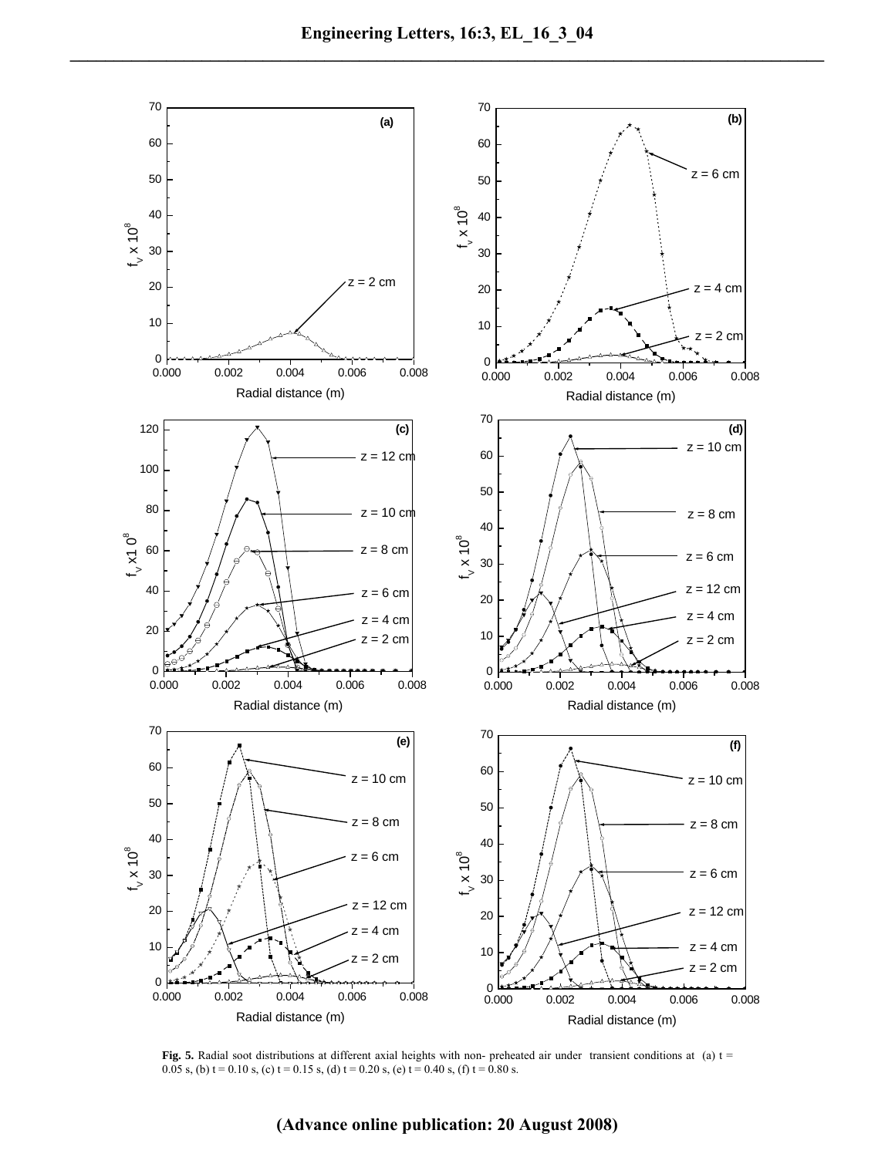

**Fig. 5.** Radial soot distributions at different axial heights with non- preheated air under transient conditions at (a) t = 0.05 s, (b) t = 0.10 s, (c) t = 0.15 s, (d) t = 0.20 s, (e) t = 0.40 s, (f) t = 0.80 s.

## **(Advance online publication: 20 August 2008)**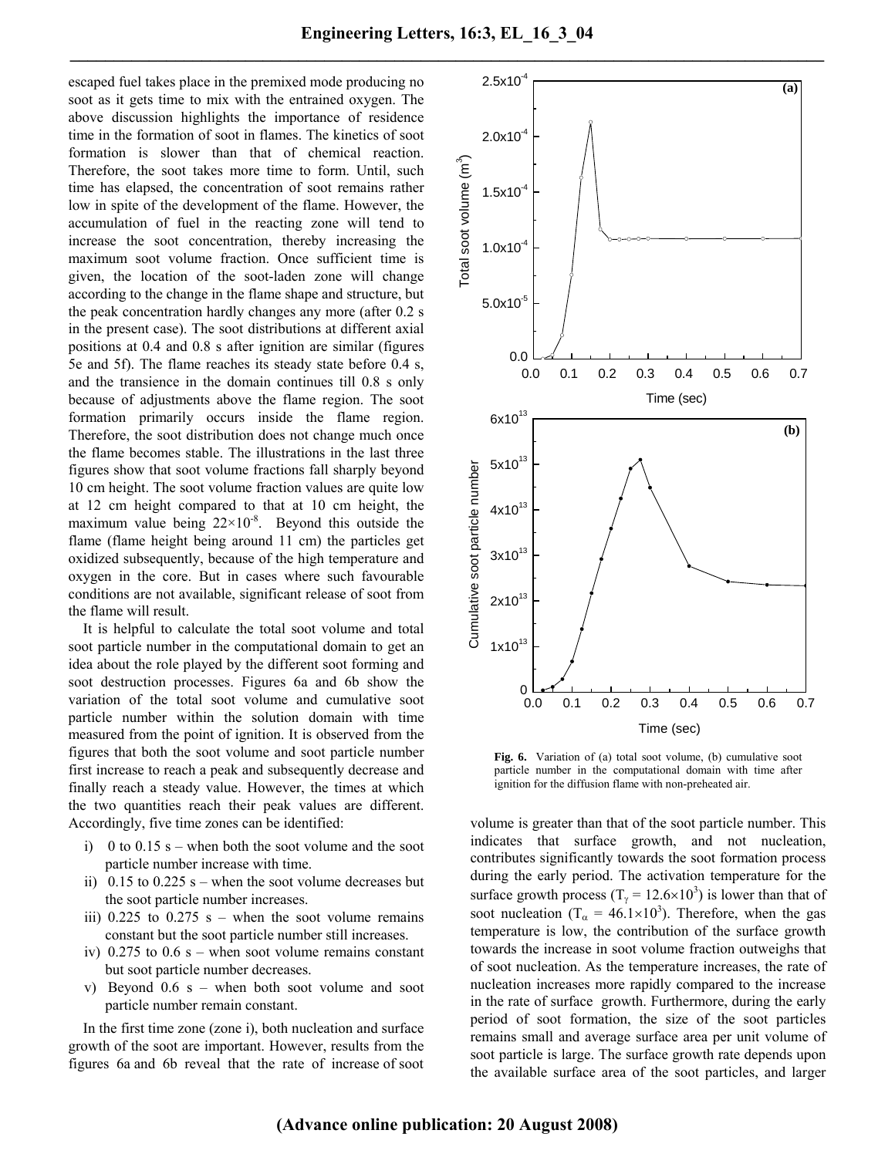escaped fuel takes place in the premixed mode producing no soot as it gets time to mix with the entrained oxygen. The above discussion highlights the importance of residence time in the formation of soot in flames. The kinetics of soot formation is slower than that of chemical reaction. Therefore, the soot takes more time to form. Until, such time has elapsed, the concentration of soot remains rather low in spite of the development of the flame. However, the accumulation of fuel in the reacting zone will tend to increase the soot concentration, thereby increasing the maximum soot volume fraction. Once sufficient time is given, the location of the soot-laden zone will change according to the change in the flame shape and structure, but the peak concentration hardly changes any more (after 0.2 s in the present case). The soot distributions at different axial positions at 0.4 and 0.8 s after ignition are similar (figures 5e and 5f). The flame reaches its steady state before 0.4 s, and the transience in the domain continues till 0.8 s only because of adjustments above the flame region. The soot formation primarily occurs inside the flame region. Therefore, the soot distribution does not change much once the flame becomes stable. The illustrations in the last three figures show that soot volume fractions fall sharply beyond 10 cm height. The soot volume fraction values are quite low at 12 cm height compared to that at 10 cm height, the maximum value being  $22 \times 10^{-8}$ . Beyond this outside the flame (flame height being around 11 cm) the particles get oxidized subsequently, because of the high temperature and oxygen in the core. But in cases where such favourable conditions are not available, significant release of soot from the flame will result.

It is helpful to calculate the total soot volume and total soot particle number in the computational domain to get an idea about the role played by the different soot forming and soot destruction processes. Figures 6a and 6b show the variation of the total soot volume and cumulative soot particle number within the solution domain with time measured from the point of ignition. It is observed from the figures that both the soot volume and soot particle number first increase to reach a peak and subsequently decrease and finally reach a steady value. However, the times at which the two quantities reach their peak values are different. Accordingly, five time zones can be identified:

- i) 0 to  $0.15$  s when both the soot volume and the soot particle number increase with time.
- ii)  $0.15$  to  $0.225$  s when the soot volume decreases but the soot particle number increases.
- iii)  $0.225$  to  $0.275$  s when the soot volume remains constant but the soot particle number still increases.
- iv)  $0.275$  to  $0.6$  s when soot volume remains constant but soot particle number decreases.
- v) Beyond 0.6 s when both soot volume and soot particle number remain constant.

In the first time zone (zone i), both nucleation and surface growth of the soot are important. However, results from the figures 6a and 6b reveal that the rate of increase of soot



**Fig. 6.** Variation of (a) total soot volume, (b) cumulative soot particle number in the computational domain with time after ignition for the diffusion flame with non-preheated air.

volume is greater than that of the soot particle number. This indicates that surface growth, and not nucleation, contributes significantly towards the soot formation process during the early period. The activation temperature for the surface growth process (T<sub> $\gamma$ </sub> = 12.6×10<sup>3</sup>) is lower than that of soot nucleation (T<sub> $\alpha$ </sub> = 46.1×10<sup>3</sup>). Therefore, when the gas temperature is low, the contribution of the surface growth towards the increase in soot volume fraction outweighs that of soot nucleation. As the temperature increases, the rate of nucleation increases more rapidly compared to the increase in the rate of surface growth. Furthermore, during the early period of soot formation, the size of the soot particles remains small and average surface area per unit volume of soot particle is large. The surface growth rate depends upon the available surface area of the soot particles, and larger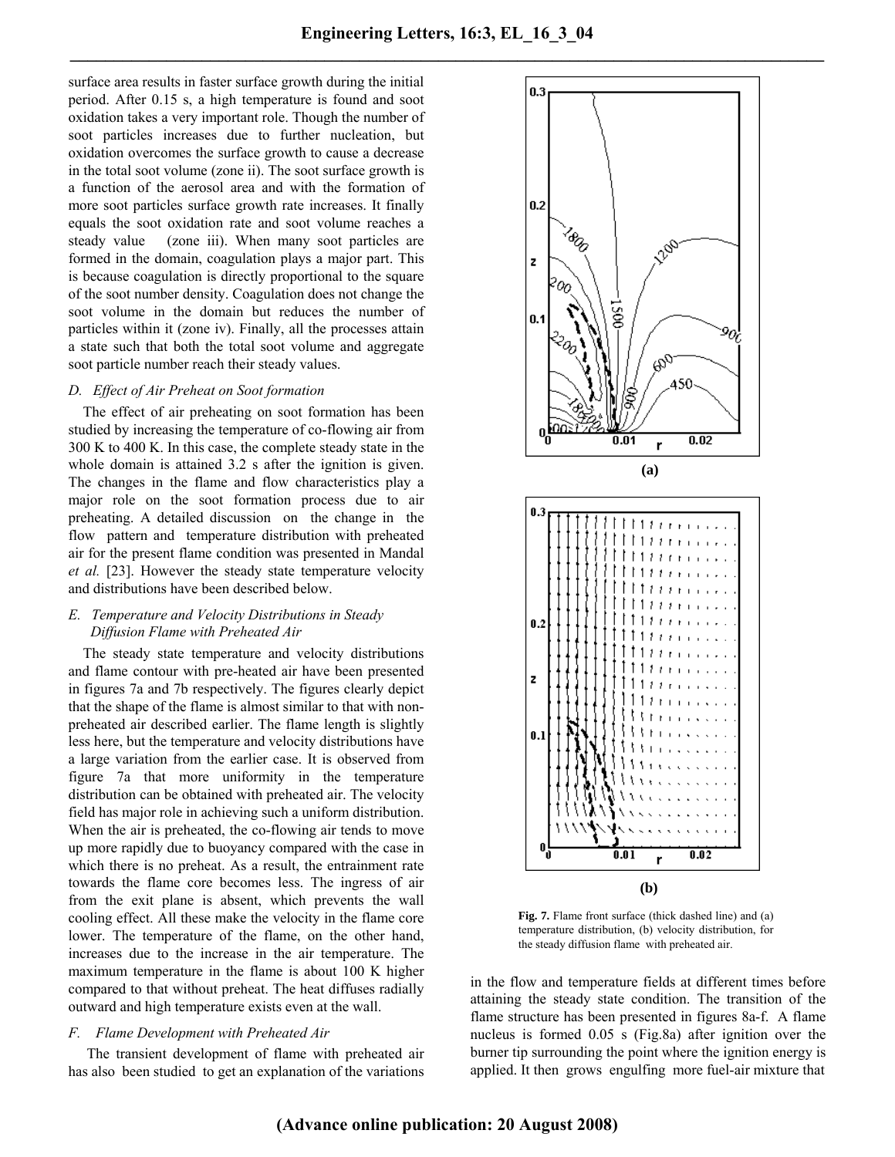surface area results in faster surface growth during the initial period. After 0.15 s, a high temperature is found and soot oxidation takes a very important role. Though the number of soot particles increases due to further nucleation, but oxidation overcomes the surface growth to cause a decrease in the total soot volume (zone ii). The soot surface growth is a function of the aerosol area and with the formation of more soot particles surface growth rate increases. It finally equals the soot oxidation rate and soot volume reaches a steady value (zone iii). When many soot particles are formed in the domain, coagulation plays a major part. This is because coagulation is directly proportional to the square of the soot number density. Coagulation does not change the soot volume in the domain but reduces the number of particles within it (zone iv). Finally, all the processes attain a state such that both the total soot volume and aggregate soot particle number reach their steady values.

## *D. Effect of Air Preheat on Soot formation*

The effect of air preheating on soot formation has been studied by increasing the temperature of co-flowing air from 300 K to 400 K. In this case, the complete steady state in the whole domain is attained 3.2 s after the ignition is given. The changes in the flame and flow characteristics play a major role on the soot formation process due to air preheating. A detailed discussion on the change in the flow pattern and temperature distribution with preheated air for the present flame condition was presented in Mandal *et al.* [23]. However the steady state temperature velocity and distributions have been described below.

## *E. Temperature and Velocity Distributions in Steady Diffusion Flame with Preheated Air*

The steady state temperature and velocity distributions and flame contour with pre-heated air have been presented in figures 7a and 7b respectively. The figures clearly depict that the shape of the flame is almost similar to that with nonpreheated air described earlier. The flame length is slightly less here, but the temperature and velocity distributions have a large variation from the earlier case. It is observed from figure 7a that more uniformity in the temperature distribution can be obtained with preheated air. The velocity field has major role in achieving such a uniform distribution. When the air is preheated, the co-flowing air tends to move up more rapidly due to buoyancy compared with the case in which there is no preheat. As a result, the entrainment rate towards the flame core becomes less. The ingress of air from the exit plane is absent, which prevents the wall cooling effect. All these make the velocity in the flame core lower. The temperature of the flame, on the other hand, increases due to the increase in the air temperature. The maximum temperature in the flame is about 100 K higher compared to that without preheat. The heat diffuses radially outward and high temperature exists even at the wall.

#### *F. Flame Development with Preheated Air*

The transient development of flame with preheated air has also been studied to get an explanation of the variations



**Fig. 7.** Flame front surface (thick dashed line) and (a) temperature distribution, (b) velocity distribution, for the steady diffusion flame with preheated air.

in the flow and temperature fields at different times before attaining the steady state condition. The transition of the flame structure has been presented in figures 8a-f. A flame nucleus is formed 0.05 s (Fig.8a) after ignition over the burner tip surrounding the point where the ignition energy is applied. It then grows engulfing more fuel-air mixture that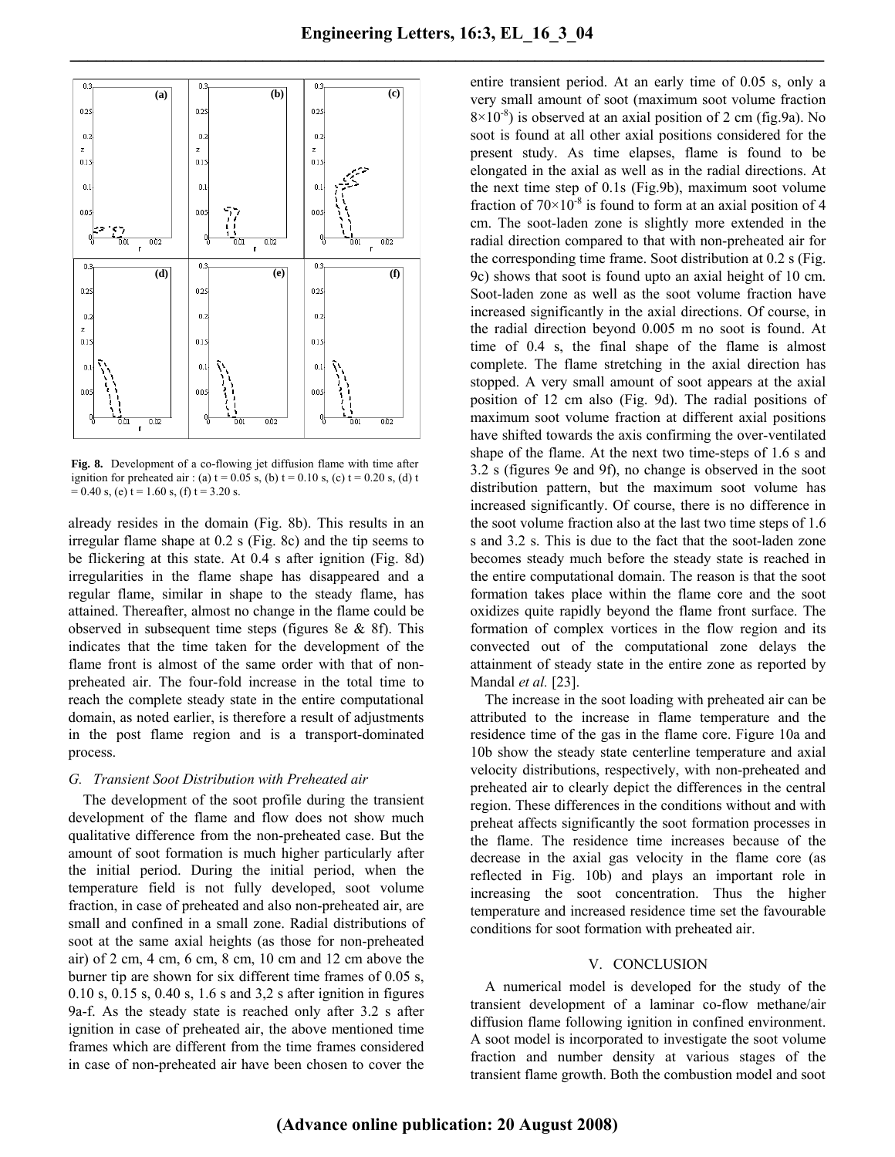

**Fig. 8.** Development of a co-flowing jet diffusion flame with time after ignition for preheated air : (a)  $t = 0.05$  s, (b)  $t = 0.10$  s, (c)  $t = 0.20$  s, (d) t  $= 0.40$  s, (e) t  $= 1.60$  s, (f) t  $= 3.20$  s.

already resides in the domain (Fig. 8b). This results in an irregular flame shape at 0.2 s (Fig. 8c) and the tip seems to be flickering at this state. At 0.4 s after ignition (Fig. 8d) irregularities in the flame shape has disappeared and a regular flame, similar in shape to the steady flame, has attained. Thereafter, almost no change in the flame could be observed in subsequent time steps (figures 8e  $\&$  8f). This indicates that the time taken for the development of the flame front is almost of the same order with that of nonpreheated air. The four-fold increase in the total time to reach the complete steady state in the entire computational domain, as noted earlier, is therefore a result of adjustments in the post flame region and is a transport-dominated process.

## *G. Transient Soot Distribution with Preheated air*

The development of the soot profile during the transient development of the flame and flow does not show much qualitative difference from the non-preheated case. But the amount of soot formation is much higher particularly after the initial period. During the initial period, when the temperature field is not fully developed, soot volume fraction, in case of preheated and also non-preheated air, are small and confined in a small zone. Radial distributions of soot at the same axial heights (as those for non-preheated air) of 2 cm, 4 cm, 6 cm, 8 cm, 10 cm and 12 cm above the burner tip are shown for six different time frames of 0.05 s, 0.10 s, 0.15 s, 0.40 s, 1.6 s and 3,2 s after ignition in figures 9a-f. As the steady state is reached only after 3.2 s after ignition in case of preheated air, the above mentioned time frames which are different from the time frames considered in case of non-preheated air have been chosen to cover the entire transient period. At an early time of 0.05 s, only a very small amount of soot (maximum soot volume fraction  $8\times10^{-8}$ ) is observed at an axial position of 2 cm (fig.9a). No soot is found at all other axial positions considered for the present study. As time elapses, flame is found to be elongated in the axial as well as in the radial directions. At the next time step of 0.1s (Fig.9b), maximum soot volume fraction of  $70\times10^{-8}$  is found to form at an axial position of 4 cm. The soot-laden zone is slightly more extended in the radial direction compared to that with non-preheated air for the corresponding time frame. Soot distribution at 0.2 s (Fig. 9c) shows that soot is found upto an axial height of 10 cm. Soot-laden zone as well as the soot volume fraction have increased significantly in the axial directions. Of course, in the radial direction beyond 0.005 m no soot is found. At time of 0.4 s, the final shape of the flame is almost complete. The flame stretching in the axial direction has stopped. A very small amount of soot appears at the axial position of 12 cm also (Fig. 9d). The radial positions of maximum soot volume fraction at different axial positions have shifted towards the axis confirming the over-ventilated shape of the flame. At the next two time-steps of 1.6 s and 3.2 s (figures 9e and 9f), no change is observed in the soot distribution pattern, but the maximum soot volume has increased significantly. Of course, there is no difference in the soot volume fraction also at the last two time steps of 1.6 s and 3.2 s. This is due to the fact that the soot-laden zone becomes steady much before the steady state is reached in the entire computational domain. The reason is that the soot formation takes place within the flame core and the soot oxidizes quite rapidly beyond the flame front surface. The formation of complex vortices in the flow region and its convected out of the computational zone delays the attainment of steady state in the entire zone as reported by Mandal *et al.* [23].

The increase in the soot loading with preheated air can be attributed to the increase in flame temperature and the residence time of the gas in the flame core. Figure 10a and 10b show the steady state centerline temperature and axial velocity distributions, respectively, with non-preheated and preheated air to clearly depict the differences in the central region. These differences in the conditions without and with preheat affects significantly the soot formation processes in the flame. The residence time increases because of the decrease in the axial gas velocity in the flame core (as reflected in Fig. 10b) and plays an important role in increasing the soot concentration. Thus the higher temperature and increased residence time set the favourable conditions for soot formation with preheated air.

#### V. CONCLUSION

A numerical model is developed for the study of the transient development of a laminar co-flow methane/air diffusion flame following ignition in confined environment. A soot model is incorporated to investigate the soot volume fraction and number density at various stages of the transient flame growth. Both the combustion model and soot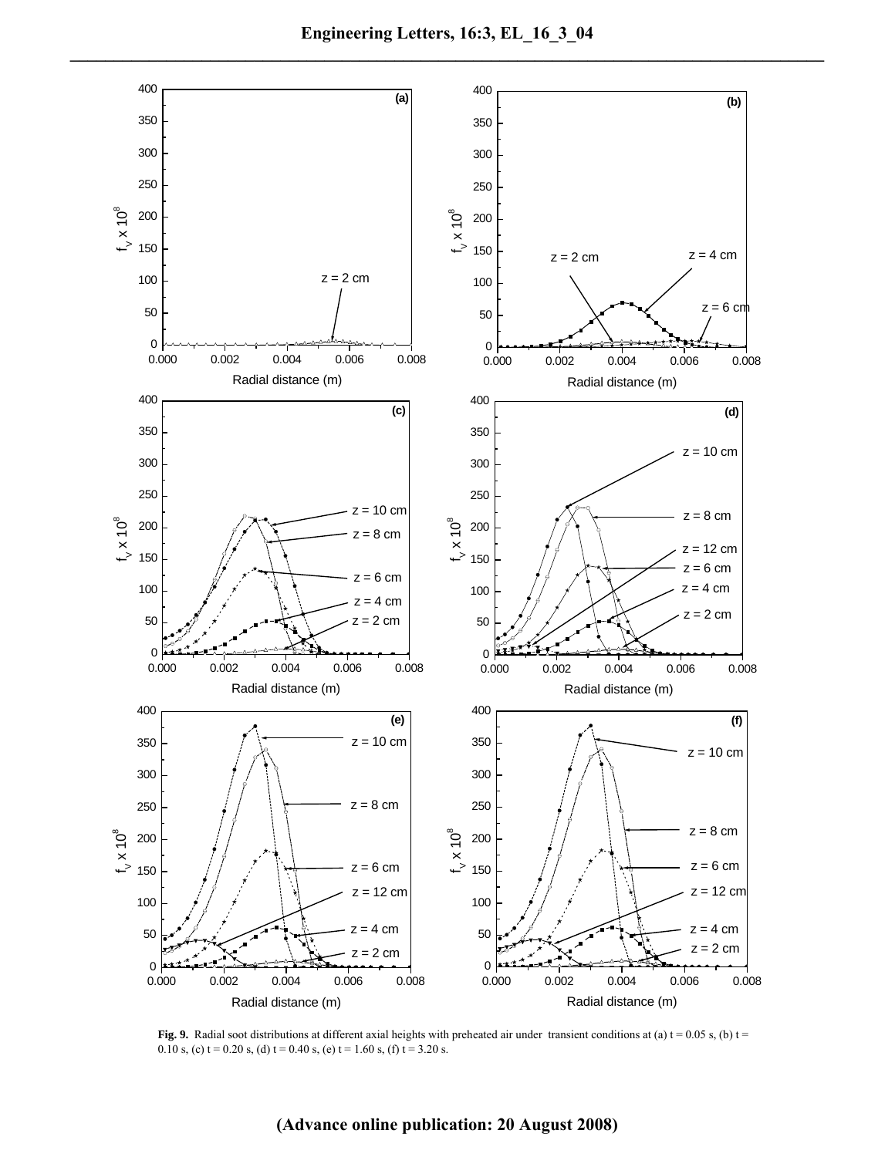

**Fig. 9.** Radial soot distributions at different axial heights with preheated air under transient conditions at (a)  $t = 0.05$  s, (b)  $t =$ 0.10 s, (c) t = 0.20 s, (d) t = 0.40 s, (e) t = 1.60 s, (f) t = 3.20 s.

## **(Advance online publication: 20 August 2008)**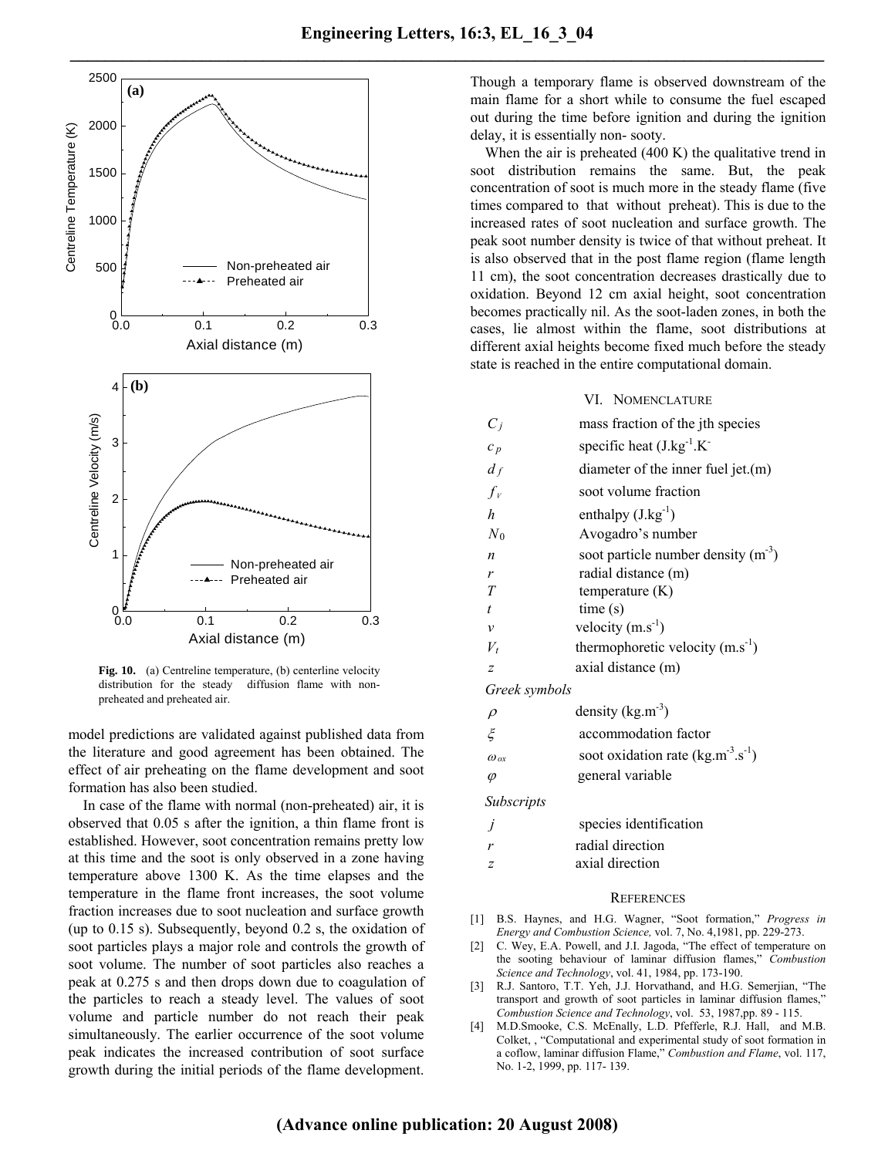

Fig. 10. (a) Centreline temperature, (b) centerline velocity distribution for the steady diffusion flame with nonpreheated and preheated air.

model predictions are validated against published data from the literature and good agreement has been obtained. The effect of air preheating on the flame development and soot formation has also been studied.

In case of the flame with normal (non-preheated) air, it is observed that 0.05 s after the ignition, a thin flame front is established. However, soot concentration remains pretty low at this time and the soot is only observed in a zone having temperature above 1300 K. As the time elapses and the temperature in the flame front increases, the soot volume fraction increases due to soot nucleation and surface growth (up to 0.15 s). Subsequently, beyond 0.2 s, the oxidation of soot particles plays a major role and controls the growth of soot volume. The number of soot particles also reaches a peak at 0.275 s and then drops down due to coagulation of the particles to reach a steady level. The values of soot volume and particle number do not reach their peak simultaneously. The earlier occurrence of the soot volume peak indicates the increased contribution of soot surface growth during the initial periods of the flame development.

Though a temporary flame is observed downstream of the main flame for a short while to consume the fuel escaped out during the time before ignition and during the ignition delay, it is essentially non- sooty.

When the air is preheated (400 K) the qualitative trend in soot distribution remains the same. But, the peak concentration of soot is much more in the steady flame (five times compared to that without preheat). This is due to the increased rates of soot nucleation and surface growth. The peak soot number density is twice of that without preheat. It is also observed that in the post flame region (flame length 11 cm), the soot concentration decreases drastically due to oxidation. Beyond 12 cm axial height, soot concentration becomes practically nil. As the soot-laden zones, in both the cases, lie almost within the flame, soot distributions at different axial heights become fixed much before the steady state is reached in the entire computational domain.

## VI. NOMENCLATURE

| $C_i$            | mass fraction of the jth species        |
|------------------|-----------------------------------------|
| $c_p$            | specific heat $(J.kg^{-1}.K^-)$         |
| $d_f$            | diameter of the inner fuel jet. $(m)$   |
| $f_{\nu}$        | soot volume fraction                    |
| $\boldsymbol{h}$ | enthalpy $(J.kg^{-1})$                  |
| $N_0$            | Avogadro's number                       |
| $\boldsymbol{n}$ | soot particle number density $(m^{-3})$ |
| r                | radial distance (m)                     |
| T                | temperature $(K)$                       |
| t                | time(s)                                 |
| ν                | velocity $(m.s^{-1})$                   |
| $V_t$            | thermophoretic velocity $(m.s^{-1})$    |
| $\overline{z}$   | axial distance (m)                      |
|                  |                                         |

*Greek symbols* 

| $\rho$        | density $(kg.m^{-3})$                    |
|---------------|------------------------------------------|
| محمح          | accommodation factor                     |
| $\omega_{ox}$ | soot oxidation rate $(kg.m^{-3}.s^{-1})$ |
| $\varphi$     | general variable                         |

*Subscripts* 

| species identification |
|------------------------|
| radial direction       |
|                        |

*z* axial direction

### **REFERENCES**

- [1] B.S. Haynes, and H.G. Wagner, "Soot formation," *Progress in Energy and Combustion Science,* vol. 7, No. 4,1981, pp. 229-273.
- [2] C. Wey, E.A. Powell, and J.I. Jagoda, "The effect of temperature on the sooting behaviour of laminar diffusion flames," *Combustion Science and Technology*, vol. 41, 1984, pp. 173-190.
- [3] R.J. Santoro, T.T. Yeh, J.J. Horvathand, and H.G. Semerjian, "The transport and growth of soot particles in laminar diffusion flames," *Combustion Science and Technology*, vol. 53, 1987,pp. 89 - 115.
- [4] M.D.Smooke, C.S. McEnally, L.D. Pfefferle, R.J. Hall, and M.B. Colket, , "Computational and experimental study of soot formation in a coflow, laminar diffusion Flame," *Combustion and Flame*, vol. 117, No. 1-2, 1999, pp. 117- 139.